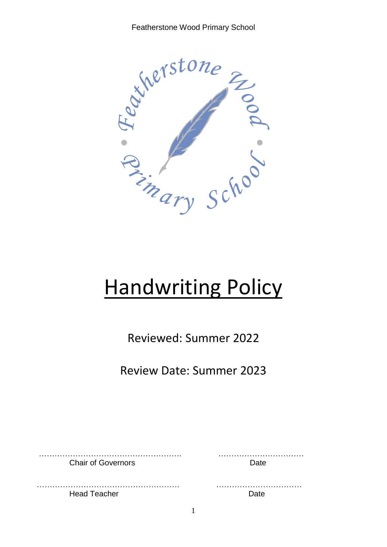Featherstone Wood Primary School



# **Handwriting Policy**

Reviewed: Summer 2022

Review Date: Summer 2023

………………………………………………. …………………………… Chair of Governors Date

………………………………………………. …………………………… Head Teacher **Date**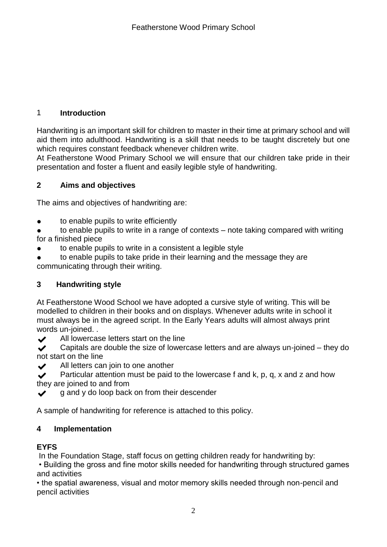### 1 **Introduction**

Handwriting is an important skill for children to master in their time at primary school and will aid them into adulthood. Handwriting is a skill that needs to be taught discretely but one which requires constant feedback whenever children write.

At Featherstone Wood Primary School we will ensure that our children take pride in their presentation and foster a fluent and easily legible style of handwriting.

## **2 Aims and objectives**

The aims and objectives of handwriting are:

● to enable pupils to write efficiently

● to enable pupils to write in a range of contexts – note taking compared with writing for a finished piece

● to enable pupils to write in a consistent a legible style

to enable pupils to take pride in their learning and the message they are communicating through their writing.

# **3 Handwriting style**

At Featherstone Wood School we have adopted a cursive style of writing. This will be modelled to children in their books and on displays. Whenever adults write in school it must always be in the agreed script. In the Early Years adults will almost always print words un-joined. .

◆ All lowercase letters start on the line

 $\blacktriangleright$  Capitals are double the size of lowercase letters and are always un-joined – they do not start on the line

◆ All letters can join to one another

**Particular attention must be paid to the lowercase f and k, p, q, x and z and how** they are joined to and from

 $\sqrt{g}$  g and y do loop back on from their descender

A sample of handwriting for reference is attached to this policy.

# **4 Implementation**

# **EYFS**

In the Foundation Stage, staff focus on getting children ready for handwriting by:

• Building the gross and fine motor skills needed for handwriting through structured games and activities

• the spatial awareness, visual and motor memory skills needed through non-pencil and pencil activities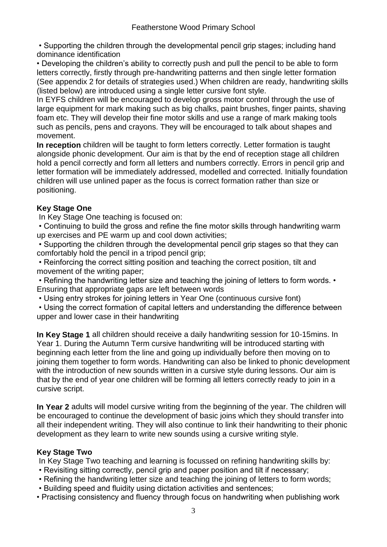• Supporting the children through the developmental pencil grip stages; including hand dominance identification

• Developing the children's ability to correctly push and pull the pencil to be able to form letters correctly, firstly through pre-handwriting patterns and then single letter formation (See appendix 2 for details of strategies used.) When children are ready, handwriting skills (listed below) are introduced using a single letter cursive font style.

In EYFS children will be encouraged to develop gross motor control through the use of large equipment for mark making such as big chalks, paint brushes, finger paints, shaving foam etc. They will develop their fine motor skills and use a range of mark making tools such as pencils, pens and crayons. They will be encouraged to talk about shapes and movement.

**In reception** children will be taught to form letters correctly. Letter formation is taught alongside phonic development. Our aim is that by the end of reception stage all children hold a pencil correctly and form all letters and numbers correctly. Errors in pencil grip and letter formation will be immediately addressed, modelled and corrected. Initially foundation children will use unlined paper as the focus is correct formation rather than size or positioning.

# **Key Stage One**

In Key Stage One teaching is focused on:

• Continuing to build the gross and refine the fine motor skills through handwriting warm up exercises and PE warm up and cool down activities;

• Supporting the children through the developmental pencil grip stages so that they can comfortably hold the pencil in a tripod pencil grip;

• Reinforcing the correct sitting position and teaching the correct position, tilt and movement of the writing paper;

• Refining the handwriting letter size and teaching the joining of letters to form words. • Ensuring that appropriate gaps are left between words

• Using entry strokes for joining letters in Year One (continuous cursive font)

• Using the correct formation of capital letters and understanding the difference between upper and lower case in their handwriting

**In Key Stage 1** all children should receive a daily handwriting session for 10-15mins. In Year 1. During the Autumn Term cursive handwriting will be introduced starting with beginning each letter from the line and going up individually before then moving on to joining them together to form words. Handwriting can also be linked to phonic development with the introduction of new sounds written in a cursive style during lessons. Our aim is that by the end of year one children will be forming all letters correctly ready to join in a cursive script.

**In Year 2** adults will model cursive writing from the beginning of the year. The children will be encouraged to continue the development of basic joins which they should transfer into all their independent writing. They will also continue to link their handwriting to their phonic development as they learn to write new sounds using a cursive writing style.

# **Key Stage Two**

In Key Stage Two teaching and learning is focussed on refining handwriting skills by:

- Revisiting sitting correctly, pencil grip and paper position and tilt if necessary;
- Refining the handwriting letter size and teaching the joining of letters to form words;
- Building speed and fluidity using dictation activities and sentences;
- Practising consistency and fluency through focus on handwriting when publishing work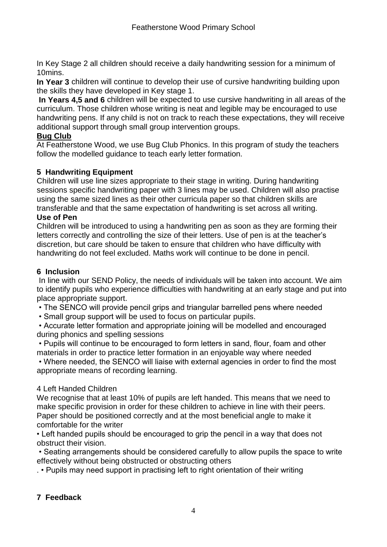In Key Stage 2 all children should receive a daily handwriting session for a minimum of 10mins.

**In Year 3** children will continue to develop their use of cursive handwriting building upon the skills they have developed in Key stage 1.

**In Years 4,5 and 6** children will be expected to use cursive handwriting in all areas of the curriculum. Those children whose writing is neat and legible may be encouraged to use handwriting pens. If any child is not on track to reach these expectations, they will receive additional support through small group intervention groups.

#### **Bug Club**

At Featherstone Wood, we use Bug Club Phonics. In this program of study the teachers follow the modelled guidance to teach early letter formation.

#### **5 Handwriting Equipment**

Children will use line sizes appropriate to their stage in writing. During handwriting sessions specific handwriting paper with 3 lines may be used. Children will also practise using the same sized lines as their other curricula paper so that children skills are transferable and that the same expectation of handwriting is set across all writing. **Use of Pen** 

Children will be introduced to using a handwriting pen as soon as they are forming their letters correctly and controlling the size of their letters. Use of pen is at the teacher's discretion, but care should be taken to ensure that children who have difficulty with handwriting do not feel excluded. Maths work will continue to be done in pencil.

#### **6 Inclusion**

In line with our SEND Policy, the needs of individuals will be taken into account. We aim to identify pupils who experience difficulties with handwriting at an early stage and put into place appropriate support.

• The SENCO will provide pencil grips and triangular barrelled pens where needed

• Small group support will be used to focus on particular pupils.

• Accurate letter formation and appropriate joining will be modelled and encouraged during phonics and spelling sessions

• Pupils will continue to be encouraged to form letters in sand, flour, foam and other materials in order to practice letter formation in an enjoyable way where needed

• Where needed, the SENCO will liaise with external agencies in order to find the most appropriate means of recording learning.

#### 4 Left Handed Children

We recognise that at least 10% of pupils are left handed. This means that we need to make specific provision in order for these children to achieve in line with their peers. Paper should be positioned correctly and at the most beneficial angle to make it comfortable for the writer

• Left handed pupils should be encouraged to grip the pencil in a way that does not obstruct their vision.

• Seating arrangements should be considered carefully to allow pupils the space to write effectively without being obstructed or obstructing others

. • Pupils may need support in practising left to right orientation of their writing

#### **7 Feedback**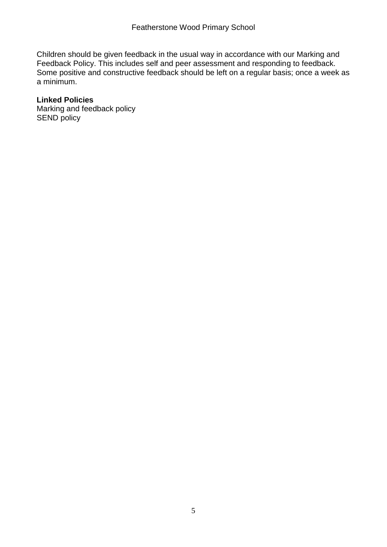Children should be given feedback in the usual way in accordance with our Marking and Feedback Policy. This includes self and peer assessment and responding to feedback. Some positive and constructive feedback should be left on a regular basis; once a week as a minimum.

## **Linked Policies**

Marking and feedback policy SEND policy